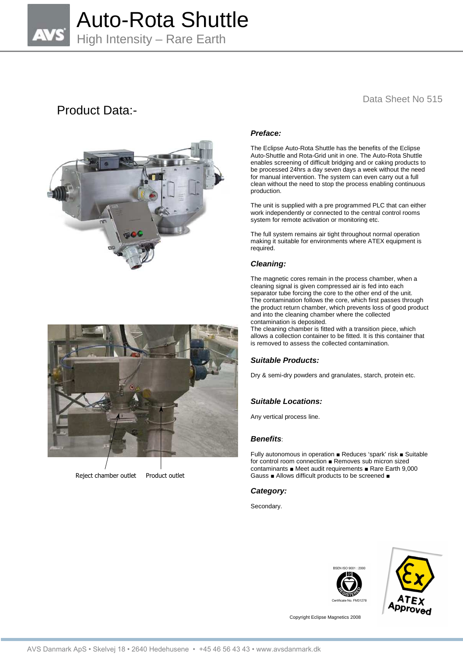

# Product Data:-



## Data Sheet No 515

## **Preface:**

The Eclipse Auto-Rota Shuttle has the benefits of the Eclipse Auto-Shuttle and Rota-Grid unit in one. The Auto-Rota Shuttle enables screening of difficult bridging and or caking products to be processed 24hrs a day seven days a week without the need for manual intervention. The system can even carry out a full clean without the need to stop the process enabling continuous production.

The unit is supplied with a pre programmed PLC that can either work independently or connected to the central control rooms system for remote activation or monitoring etc.

The full system remains air tight throughout normal operation making it suitable for environments where ATEX equipment is required.

## **Cleaning:**

The magnetic cores remain in the process chamber, when a cleaning signal is given compressed air is fed into each separator tube forcing the core to the other end of the unit. The contamination follows the core, which first passes through the product return chamber, which prevents loss of good product and into the cleaning chamber where the collected contamination is deposited.

The cleaning chamber is fitted with a transition piece, which allows a collection container to be fitted. It is this container that is removed to assess the collected contamination.

### **Suitable Products:**

Dry & semi-dry powders and granulates, starch, protein etc.

## **Suitable Locations:**

Any vertical process line.

### **Benefits**:

Fully autonomous in operation ■ Reduces 'spark' risk ■ Suitable for control room connection ■ Removes sub micron sized contaminants ■ Meet audit requirements ■ Rare Earth 9,000 Gauss ■ Allows difficult products to be screened ■

#### **Category:**

Secondary.





Copyright Eclipse Magnetics 2008



Reject chamber outlet Product outlet